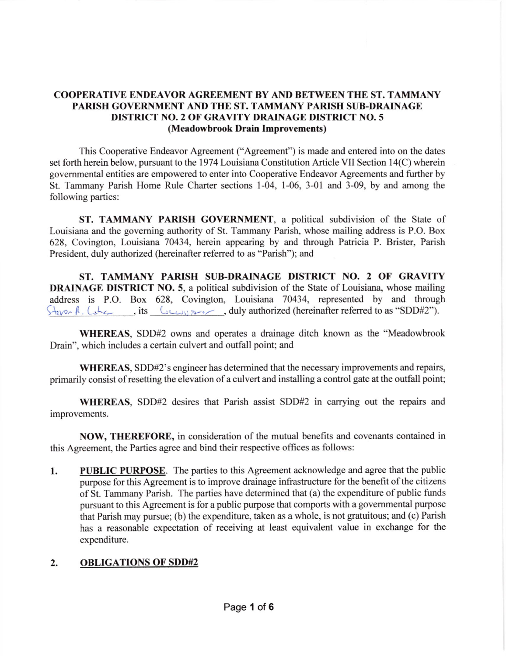## COOPERATIVE ENDEAVOR AGREEMENT BY AND BETWEEN THE ST. TAMMANY PARISH GOVERNMENT AND THE ST. TAMMANY PARISH SUB-DRAINAGE DISTRICT NO.2 OF GRAVITY DRAINAGE DISTRJCT NO.5 (Meadowbrook Drain Improvements)

This Cooperative Endeavor Agreement ("Agreement") is made and entered into on the dates set forth herein below, pursuant to the 1974 Louisiana Constitution Article VII Section 14(C) wherein govemmental entities are empowered to enter into Cooperative Endeavor Agreements and further by St. Tammany Parish Home Rule Charter sections l-04, l-06, 3-01 and 3-09, by and among the following parties:

ST. TAMMANY PARISH GOVERNMENT, a political subdivision of the State of Louisiana and the goveming authority of St. Tammany Parish, whose mailing address is P.O. Box 628, Covinglon, Louisiana 70434, herein appearing by and through Patricia P. Brister, Parish President, duly authorized (hereinafter referred to as "Parish"); and

ST. TAMMANY PARISH SUB-DRAINAGE DISTRICT NO. 2 OF GRAVITY **DRAINAGE DISTRICT NO. 5, a political subdivision of the State of Louisiana, whose mailing** address is P.O. Box 628, Covington, Louisiana 70434, represented by and through  $\frac{\zeta + \zeta}{\zeta + \zeta}$ , its  $\frac{\zeta + \zeta}{\zeta + \zeta}$ , duly authorized (hereinafter referred to as "SDD#2").

WHEREAS, SDD#2 owns and operates a drainage ditch known as the "Meadowbrook Drain", which includes a certain culvert and outfall point; and

WHEREAS, SDD#2's engineer has determined that the necessary improvements and repairs, primarily consist of resetting the elevation of a culvert and installing a control gate at the outfall point;

WHEREAS, SDD#2 desires that Parish assist SDD#2 in carrying out the repairs and improvements.

NOW, THEREFORE, in consideration of the mutual benefits and covenants contained in this Agreement, the Parties agree and bind their respective offices as follows:

1. PUBLIC PURPOSE. The parties to this Agreement acknowledge and agree that the public purpose for this Agreement is to improve drainage infrastructure for the benefit of the citizens of St. Tammany Parish. The parties have determined that (a) the expenditure of public funds pursuant to this Agreement is for a public purpose that comports with a govemmental purpose that Parish may pursue; (b) the expenditure, taken as a whole, is not gratuitous; and (c) Parish has a reasonable expectation of receiving at least equivalent value in exchange for the expenditure.

## 2. OBLIGATIONS OF SDD#2